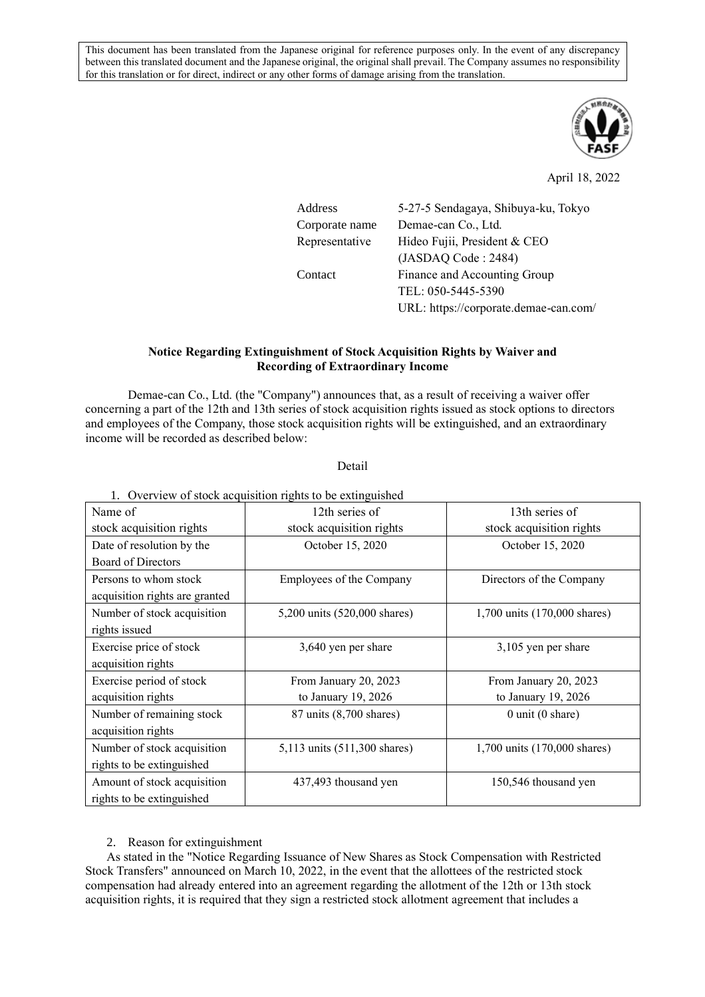This document has been translated from the Japanese original for reference purposes only. In the event of any discrepancy between this translated document and the Japanese original, the original shall prevail. The Company assumes no responsibility for this translation or for direct, indirect or any other forms of damage arising from the translation.



April 18, 2022

| Address        | 5-27-5 Sendagaya, Shibuya-ku, Tokyo   |  |
|----------------|---------------------------------------|--|
| Corporate name | Demae-can Co., Ltd.                   |  |
| Representative | Hideo Fujii, President & CEO          |  |
|                | (JASDAO Code : 2484)                  |  |
| Contact        | Finance and Accounting Group          |  |
|                | TEL: 050-5445-5390                    |  |
|                | URL: https://corporate.demae-can.com/ |  |

## **Notice Regarding Extinguishment of Stock Acquisition Rights by Waiver and Recording of Extraordinary Income**

Demae-can Co., Ltd. (the "Company") announces that, as a result of receiving a waiver offer concerning a part of the 12th and 13th series of stock acquisition rights issued as stock options to directors and employees of the Company, those stock acquisition rights will be extinguished, and an extraordinary income will be recorded as described below:

## Detail

| Name of                        | 1. Overview of stock acquisition rights to be extinguished<br>12th series of | 13th series of               |
|--------------------------------|------------------------------------------------------------------------------|------------------------------|
| stock acquisition rights       | stock acquisition rights                                                     | stock acquisition rights     |
| Date of resolution by the      | October 15, 2020                                                             | October 15, 2020             |
| <b>Board of Directors</b>      |                                                                              |                              |
| Persons to whom stock          | Employees of the Company                                                     | Directors of the Company     |
| acquisition rights are granted |                                                                              |                              |
| Number of stock acquisition    | 5,200 units (520,000 shares)                                                 | 1,700 units (170,000 shares) |
| rights issued                  |                                                                              |                              |
| Exercise price of stock        | 3,640 yen per share                                                          | 3,105 yen per share          |
| acquisition rights             |                                                                              |                              |
| Exercise period of stock       | From January 20, 2023                                                        | From January 20, 2023        |
| acquisition rights             | to January $19, 2026$                                                        | to January 19, 2026          |
| Number of remaining stock      | 87 units (8,700 shares)                                                      | $0$ unit $(0 \text{ share})$ |
| acquisition rights             |                                                                              |                              |
| Number of stock acquisition    | 5,113 units (511,300 shares)                                                 | 1,700 units (170,000 shares) |
| rights to be extinguished      |                                                                              |                              |
| Amount of stock acquisition    | 437,493 thousand yen                                                         | 150,546 thousand yen         |
| rights to be extinguished      |                                                                              |                              |

1. Overview of stock acquisition rights to be extinguished

## 2. Reason for extinguishment

As stated in the "Notice Regarding Issuance of New Shares as Stock Compensation with Restricted Stock Transfers" announced on March 10, 2022, in the event that the allottees of the restricted stock compensation had already entered into an agreement regarding the allotment of the 12th or 13th stock acquisition rights, it is required that they sign a restricted stock allotment agreement that includes a